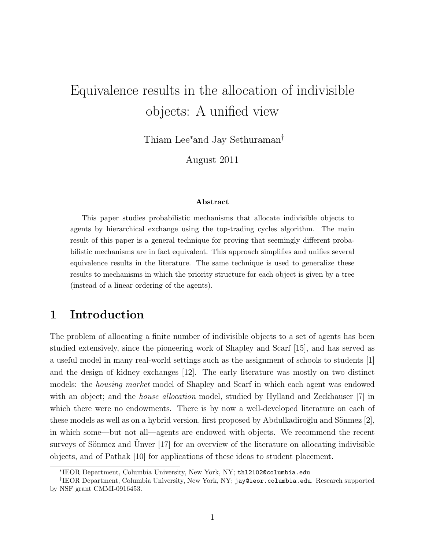# Equivalence results in the allocation of indivisible objects: A unified view

Thiam Lee∗and Jay Sethuraman†

August 2011

#### Abstract

This paper studies probabilistic mechanisms that allocate indivisible objects to agents by hierarchical exchange using the top-trading cycles algorithm. The main result of this paper is a general technique for proving that seemingly different probabilistic mechanisms are in fact equivalent. This approach simplifies and unifies several equivalence results in the literature. The same technique is used to generalize these results to mechanisms in which the priority structure for each object is given by a tree (instead of a linear ordering of the agents).

### 1 Introduction

The problem of allocating a finite number of indivisible objects to a set of agents has been studied extensively, since the pioneering work of Shapley and Scarf [15], and has served as a useful model in many real-world settings such as the assignment of schools to students [1] and the design of kidney exchanges [12]. The early literature was mostly on two distinct models: the housing market model of Shapley and Scarf in which each agent was endowed with an object; and the *house allocation* model, studied by Hylland and Zeckhauser [7] in which there were no endowments. There is by now a well-developed literature on each of these models as well as on a hybrid version, first proposed by Abdulkadiroğlu and Sönmez  $[2]$ , in which some—but not all—agents are endowed with objects. We recommend the recent surveys of Sönmez and Unver  $[17]$  for an overview of the literature on allocating indivisible objects, and of Pathak [10] for applications of these ideas to student placement.

<sup>∗</sup> IEOR Department, Columbia University, New York, NY; thl2102@columbia.edu

<sup>†</sup> IEOR Department, Columbia University, New York, NY; jay@ieor.columbia.edu. Research supported by NSF grant CMMI-0916453.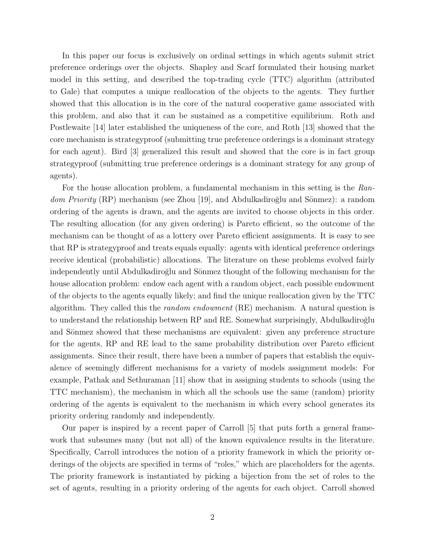In this paper our focus is exclusively on ordinal settings in which agents submit strict preference orderings over the objects. Shapley and Scarf formulated their housing market model in this setting, and described the top-trading cycle (TTC) algorithm (attributed to Gale) that computes a unique reallocation of the objects to the agents. They further showed that this allocation is in the core of the natural cooperative game associated with this problem, and also that it can be sustained as a competitive equilibrium. Roth and Postlewaite [14] later established the uniqueness of the core, and Roth [13] showed that the core mechanism is strategyproof (submitting true preference orderings is a dominant strategy for each agent). Bird [3] generalized this result and showed that the core is in fact group strategyproof (submitting true preference orderings is a dominant strategy for any group of agents).

For the house allocation problem, a fundamental mechanism in this setting is the Random Priority  $(RP)$  mechanism (see Zhou [19], and Abdulkadiroğlu and Sönmez): a random ordering of the agents is drawn, and the agents are invited to choose objects in this order. The resulting allocation (for any given ordering) is Pareto efficient, so the outcome of the mechanism can be thought of as a lottery over Pareto efficient assignments. It is easy to see that RP is strategyproof and treats equals equally: agents with identical preference orderings receive identical (probabilistic) allocations. The literature on these problems evolved fairly independently until Abdulkadiroğlu and Sönmez thought of the following mechanism for the house allocation problem: endow each agent with a random object, each possible endowment of the objects to the agents equally likely; and find the unique reallocation given by the TTC algorithm. They called this the random endowment (RE) mechanism. A natural question is to understand the relationship between RP and RE. Somewhat surprisingly, Abdulkadiroğlu and Sönmez showed that these mechanisms are equivalent: given any preference structure for the agents, RP and RE lead to the same probability distribution over Pareto efficient assignments. Since their result, there have been a number of papers that establish the equivalence of seemingly different mechanisms for a variety of models assignment models: For example, Pathak and Sethuraman [11] show that in assigning students to schools (using the TTC mechanism), the mechanism in which all the schools use the same (random) priority ordering of the agents is equivalent to the mechanism in which every school generates its priority ordering randomly and independently.

Our paper is inspired by a recent paper of Carroll [5] that puts forth a general framework that subsumes many (but not all) of the known equivalence results in the literature. Specifically, Carroll introduces the notion of a priority framework in which the priority orderings of the objects are specified in terms of "roles," which are placeholders for the agents. The priority framework is instantiated by picking a bijection from the set of roles to the set of agents, resulting in a priority ordering of the agents for each object. Carroll showed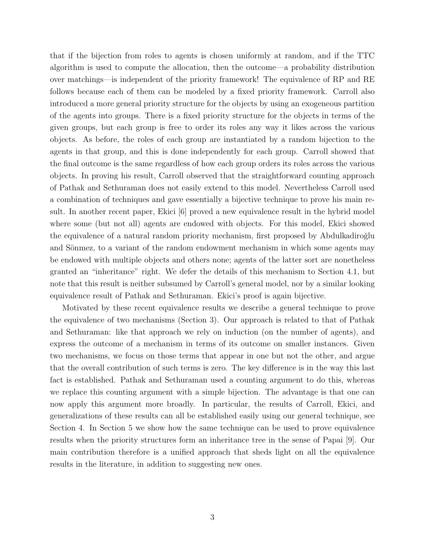that if the bijection from roles to agents is chosen uniformly at random, and if the TTC algorithm is used to compute the allocation, then the outcome—a probability distribution over matchings—is independent of the priority framework! The equivalence of RP and RE follows because each of them can be modeled by a fixed priority framework. Carroll also introduced a more general priority structure for the objects by using an exogeneous partition of the agents into groups. There is a fixed priority structure for the objects in terms of the given groups, but each group is free to order its roles any way it likes across the various objects. As before, the roles of each group are instantiated by a random bijection to the agents in that group, and this is done independently for each group. Carroll showed that the final outcome is the same regardless of how each group orders its roles across the various objects. In proving his result, Carroll observed that the straightforward counting approach of Pathak and Sethuraman does not easily extend to this model. Nevertheless Carroll used a combination of techniques and gave essentially a bijective technique to prove his main result. In another recent paper, Ekici [6] proved a new equivalence result in the hybrid model where some (but not all) agents are endowed with objects. For this model, Ekici showed the equivalence of a natural random priority mechanism, first proposed by Abdulkadiroğlu and Sönmez, to a variant of the random endowment mechanism in which some agents may be endowed with multiple objects and others none; agents of the latter sort are nonetheless granted an "inheritance" right. We defer the details of this mechanism to Section 4.1, but note that this result is neither subsumed by Carroll's general model, nor by a similar looking equivalence result of Pathak and Sethuraman. Ekici's proof is again bijective.

Motivated by these recent equivalence results we describe a general technique to prove the equivalence of two mechanisms (Section 3). Our approach is related to that of Pathak and Sethuraman: like that approach we rely on induction (on the number of agents), and express the outcome of a mechanism in terms of its outcome on smaller instances. Given two mechanisms, we focus on those terms that appear in one but not the other, and argue that the overall contribution of such terms is zero. The key difference is in the way this last fact is established. Pathak and Sethuraman used a counting argument to do this, whereas we replace this counting argument with a simple bijection. The advantage is that one can now apply this argument more broadly. In particular, the results of Carroll, Ekici, and generalizations of these results can all be established easily using our general technique, see Section 4. In Section 5 we show how the same technique can be used to prove equivalence results when the priority structures form an inheritance tree in the sense of Papai [9]. Our main contribution therefore is a unified approach that sheds light on all the equivalence results in the literature, in addition to suggesting new ones.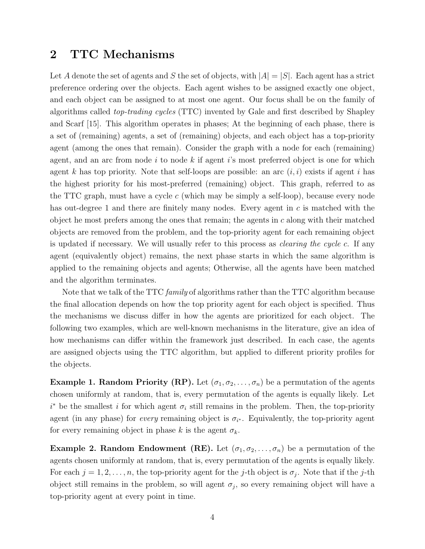## 2 TTC Mechanisms

Let A denote the set of agents and S the set of objects, with  $|A| = |S|$ . Each agent has a strict preference ordering over the objects. Each agent wishes to be assigned exactly one object, and each object can be assigned to at most one agent. Our focus shall be on the family of algorithms called top-trading cycles (TTC) invented by Gale and first described by Shapley and Scarf [15]. This algorithm operates in phases; At the beginning of each phase, there is a set of (remaining) agents, a set of (remaining) objects, and each object has a top-priority agent (among the ones that remain). Consider the graph with a node for each (remaining) agent, and an arc from node  $i$  to node  $k$  if agent  $i$ 's most preferred object is one for which agent k has top priority. Note that self-loops are possible: an arc  $(i, i)$  exists if agent i has the highest priority for his most-preferred (remaining) object. This graph, referred to as the TTC graph, must have a cycle  $c$  (which may be simply a self-loop), because every node has out-degree 1 and there are finitely many nodes. Every agent in  $c$  is matched with the object he most prefers among the ones that remain; the agents in  $c$  along with their matched objects are removed from the problem, and the top-priority agent for each remaining object is updated if necessary. We will usually refer to this process as clearing the cycle c. If any agent (equivalently object) remains, the next phase starts in which the same algorithm is applied to the remaining objects and agents; Otherwise, all the agents have been matched and the algorithm terminates.

Note that we talk of the TTC *family* of algorithms rather than the TTC algorithm because the final allocation depends on how the top priority agent for each object is specified. Thus the mechanisms we discuss differ in how the agents are prioritized for each object. The following two examples, which are well-known mechanisms in the literature, give an idea of how mechanisms can differ within the framework just described. In each case, the agents are assigned objects using the TTC algorithm, but applied to different priority profiles for the objects.

Example 1. Random Priority (RP). Let  $(\sigma_1, \sigma_2, \ldots, \sigma_n)$  be a permutation of the agents chosen uniformly at random, that is, every permutation of the agents is equally likely. Let  $i^*$  be the smallest i for which agent  $\sigma_i$  still remains in the problem. Then, the top-priority agent (in any phase) for *every* remaining object is  $\sigma_{i^*}$ . Equivalently, the top-priority agent for every remaining object in phase k is the agent  $\sigma_k$ .

**Example 2. Random Endowment (RE).** Let  $(\sigma_1, \sigma_2, \ldots, \sigma_n)$  be a permutation of the agents chosen uniformly at random, that is, every permutation of the agents is equally likely. For each  $j = 1, 2, \ldots, n$ , the top-priority agent for the j-th object is  $\sigma_j$ . Note that if the j-th object still remains in the problem, so will agent  $\sigma_j$ , so every remaining object will have a top-priority agent at every point in time.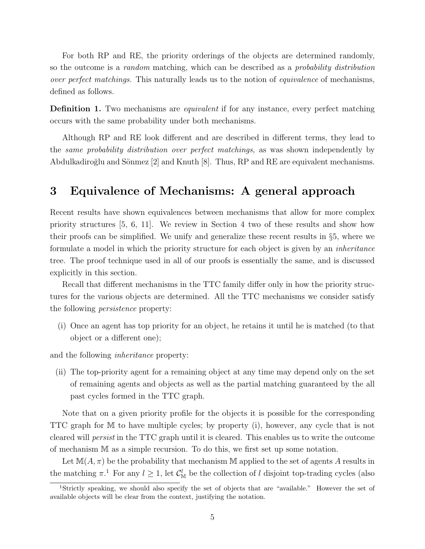For both RP and RE, the priority orderings of the objects are determined randomly, so the outcome is a *random* matching, which can be described as a *probability distribution* over perfect matchings. This naturally leads us to the notion of equivalence of mechanisms, defined as follows.

**Definition 1.** Two mechanisms are *equivalent* if for any instance, every perfect matching occurs with the same probability under both mechanisms.

Although RP and RE look different and are described in different terms, they lead to the same probability distribution over perfect matchings, as was shown independently by Abdulkadiroğlu and Sönmez [2] and Knuth [8]. Thus, RP and RE are equivalent mechanisms.

# 3 Equivalence of Mechanisms: A general approach

Recent results have shown equivalences between mechanisms that allow for more complex priority structures [5, 6, 11]. We review in Section 4 two of these results and show how their proofs can be simplified. We unify and generalize these recent results in §5, where we formulate a model in which the priority structure for each object is given by an inheritance tree. The proof technique used in all of our proofs is essentially the same, and is discussed explicitly in this section.

Recall that different mechanisms in the TTC family differ only in how the priority structures for the various objects are determined. All the TTC mechanisms we consider satisfy the following persistence property:

(i) Once an agent has top priority for an object, he retains it until he is matched (to that object or a different one);

and the following inheritance property:

(ii) The top-priority agent for a remaining object at any time may depend only on the set of remaining agents and objects as well as the partial matching guaranteed by the all past cycles formed in the TTC graph.

Note that on a given priority profile for the objects it is possible for the corresponding TTC graph for M to have multiple cycles; by property (i), however, any cycle that is not cleared will persist in the TTC graph until it is cleared. This enables us to write the outcome of mechanism M as a simple recursion. To do this, we first set up some notation.

Let  $\mathbb{M}(A,\pi)$  be the probability that mechanism M applied to the set of agents A results in the matching  $\pi$ .<sup>1</sup> For any  $l \geq 1$ , let  $\mathcal{C}_{\mathbb{M}}^l$  be the collection of l disjoint top-trading cycles (also

<sup>&</sup>lt;sup>1</sup>Strictly speaking, we should also specify the set of objects that are "available." However the set of available objects will be clear from the context, justifying the notation.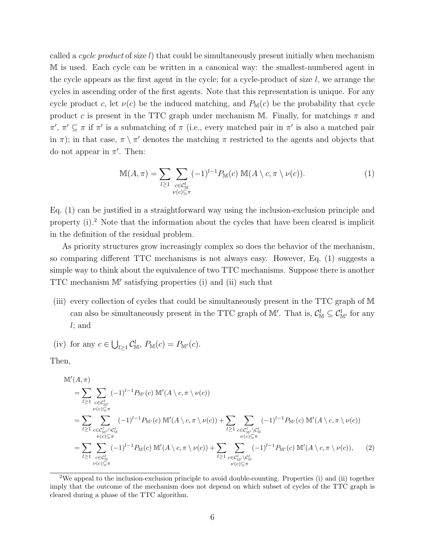called a cycle product of size  $l$ ) that could be simultaneously present initially when mechanism M is used. Each cycle can be written in a canonical way: the smallest-numbered agent in the cycle appears as the first agent in the cycle; for a cycle-product of size  $l$ , we arrange the cycles in ascending order of the first agents. Note that this representation is unique. For any cycle product c, let  $\nu(c)$  be the induced matching, and  $P_{\mathbb{M}}(c)$  be the probability that cycle product c is present in the TTC graph under mechanism M. Finally, for matchings  $\pi$  and  $\pi', \pi' \subseteq \pi$  if  $\pi'$  is a submatching of  $\pi$  (i.e., every matched pair in  $\pi'$  is also a matched pair in  $\pi$ ); in that case,  $\pi \setminus \pi'$  denotes the matching  $\pi$  restricted to the agents and objects that do not appear in  $\pi'$ . Then:

$$
\mathbb{M}(A,\pi) = \sum_{l \ge 1} \sum_{\substack{c \in \mathcal{C}_{\mathbb{M}}^l \\ \nu(c) \subseteq \pi}} (-1)^{l-1} P_{\mathbb{M}}(c) \mathbb{M}(A \setminus c, \pi \setminus \nu(c)). \tag{1}
$$

Eq. (1) can be justified in a straightforward way using the inclusion-exclusion principle and property (i).<sup>2</sup> Note that the information about the cycles that have been cleared is implicit in the definition of the residual problem.

As priority structures grow increasingly complex so does the behavior of the mechanism, so comparing different TTC mechanisms is not always easy. However, Eq. (1) suggests a simple way to think about the equivalence of two TTC mechanisms. Suppose there is another TTC mechanism  $M'$  satisfying properties (i) and (ii) such that

(iii) every collection of cycles that could be simultaneously present in the TTC graph of M can also be simultaneously present in the TTC graph of  $\mathbb{M}'$ . That is,  $\mathcal{C}_{\mathbb{M}}^l \subseteq \mathcal{C}_{\mathbb{M}'}^l$  for any l; and

(iv) for any 
$$
c \in \bigcup_{l \geq 1} C_{\mathbb{M}}^l
$$
,  $P_{\mathbb{M}}(c) = P_{\mathbb{M}'}(c)$ .

Then,

$$
\mathbb{M}'(A,\pi) = \sum_{l \geq 1} \sum_{\substack{c \in C_{\mathbb{M}'}^l \\ \nu(c) \subseteq \pi}} (-1)^{l-1} P_{\mathbb{M}'}(c) \, \mathbb{M}'(A \setminus c, \pi \setminus \nu(c)) \n= \sum_{l \geq 1} \sum_{\substack{c \in C_{\mathbb{M}'}^l \cap C_{\mathbb{M}}^l \\ \nu(c) \subseteq \pi}} (-1)^{l-1} P_{\mathbb{M}'}(c) \, \mathbb{M}'(A \setminus c, \pi \setminus \nu(c)) + \sum_{l \geq 1} \sum_{\substack{c \in C_{\mathbb{M}'}^l \setminus C_{\mathbb{M}}^l \\ \nu(c) \subseteq \pi}} (-1)^{l-1} P_{\mathbb{M}'}(c) \, \mathbb{M}'(A \setminus c, \pi \setminus \nu(c)) \n= \sum_{l \geq 1} \sum_{\substack{c \in C_{\mathbb{M}}^l \\ \nu(c) \subseteq \pi}} (-1)^{l-1} P_{\mathbb{M}}(c) \, \mathbb{M}'(A \setminus c, \pi \setminus \nu(c)) + \sum_{l \geq 1} \sum_{\substack{c \in C_{\mathbb{M}'}^l \setminus C_{\mathbb{M}}^l \\ \nu(c) \subseteq \pi}} (-1)^{l-1} P_{\mathbb{M}'}(c) \, \mathbb{M}'(A \setminus c, \pi \setminus \nu(c)), \quad (2)
$$

<sup>2</sup>We appeal to the inclusion-exclusion principle to avoid double-counting. Properties (i) and (ii) together imply that the outcome of the mechanism does not depend on which subset of cycles of the TTC graph is cleared during a phase of the TTC algorithm.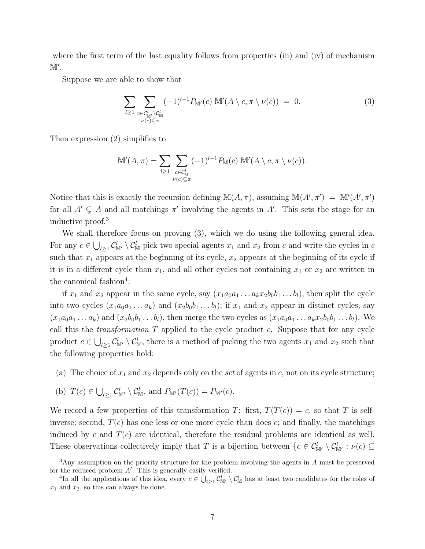where the first term of the last equality follows from properties (iii) and (iv) of mechanism  $\mathbb{M}'$ .

Suppose we are able to show that

$$
\sum_{l\geq 1}\sum_{\substack{c\in \mathcal{C}_{\mathbb{M}'}^l\backslash \mathcal{C}_{\mathbb{M}}^l\\ \nu(c)\subseteq \pi}} (-1)^{l-1} P_{\mathbb{M}'}(c) \mathbb{M}'(A\setminus c, \pi\setminus \nu(c)) = 0.
$$
 (3)

Then expression (2) simplifies to

$$
\mathbb{M}'(A,\pi) = \sum_{l \geq 1} \sum_{\substack{c \in \mathcal{C}_{\mathbb{M}}^l \\ \nu(c) \subseteq \pi}} (-1)^{l-1} P_{\mathbb{M}}(c) \mathbb{M}'(A \setminus c, \pi \setminus \nu(c)).
$$

Notice that this is exactly the recursion defining  $\mathbb{M}(A,\pi)$ , assuming  $\mathbb{M}(A',\pi') = \mathbb{M}'(A',\pi')$ for all  $A' \subsetneq A$  and all matchings  $\pi'$  involving the agents in A'. This sets the stage for an inductive proof.<sup>3</sup>

We shall therefore focus on proving (3), which we do using the following general idea. For any  $c \in \bigcup_{l \geq 1} C_{\mathbb{M}'}^l \setminus C_{\mathbb{M}}^l$  pick two special agents  $x_1$  and  $x_2$  from c and write the cycles in c such that  $x_1$  appears at the beginning of its cycle,  $x_2$  appears at the beginning of its cycle if it is in a different cycle than  $x_1$ , and all other cycles not containing  $x_1$  or  $x_2$  are written in the canonical fashion<sup>4</sup>:

if  $x_1$  and  $x_2$  appear in the same cycle, say  $(x_1a_0a_1 \ldots a_kx_2b_0b_1 \ldots b_l)$ , then split the cycle into two cycles  $(x_1a_0a_1 \ldots a_k)$  and  $(x_2b_0b_1 \ldots b_l)$ ; if  $x_1$  and  $x_2$  appear in distinct cycles, say  $(x_1a_0a_1 \ldots a_k)$  and  $(x_2b_0b_1 \ldots b_l)$ , then merge the two cycles as  $(x_1a_0a_1 \ldots a_kx_2b_0b_1 \ldots b_l)$ . We call this the *transformation*  $T$  applied to the cycle product  $c$ . Suppose that for any cycle product  $c \in \bigcup_{l \geq 1} C_{\mathbb{M}'}^l \setminus C_{\mathbb{M}}^l$ , there is a method of picking the two agents  $x_1$  and  $x_2$  such that the following properties hold:

- (a) The choice of  $x_1$  and  $x_2$  depends only on the set of agents in c, not on its cycle structure;
- (b)  $T(c) \in \bigcup_{l \geq 1} C^l_{\mathbb{M}'} \setminus C^l_{\mathbb{M}}$ , and  $P_{\mathbb{M}'}(T(c)) = P_{\mathbb{M}'}(c)$ .

We record a few properties of this transformation T: first,  $T(T(c)) = c$ , so that T is selfinverse; second,  $T(c)$  has one less or one more cycle than does c; and finally, the matchings induced by c and  $T(c)$  are identical, therefore the residual problems are identical as well. These observations collectively imply that T is a bijection between  $\{c \in \mathcal{C}_{\mathbb{M}'}^l \setminus \mathcal{C}_{\mathbb{M}'}^l : \nu(c) \subseteq$ 

<sup>&</sup>lt;sup>3</sup>Any assumption on the priority structure for the problem involving the agents in A must be preserved for the reduced problem  $A'$ . This is generally easily verified.

<sup>&</sup>lt;sup>4</sup>In all the applications of this idea, every  $c \in \bigcup_{l \geq 1} C_{\mathbb{M}}^l \setminus C_{\mathbb{M}}^l$  has at least two candidates for the roles of  $x_1$  and  $x_2$ , so this can always be done.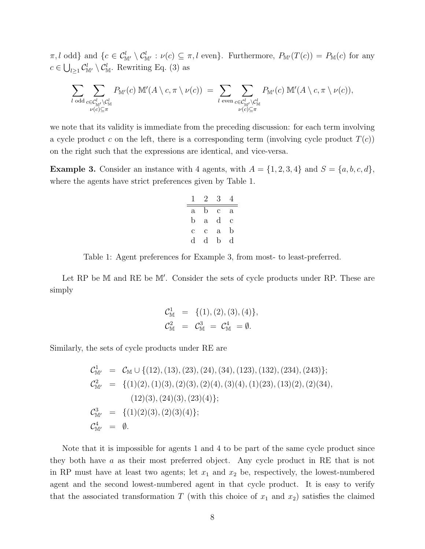$\pi, l$  odd} and  $\{c \in C^l_{\mathbb{M}'} \setminus C^l_{\mathbb{M}'} : \nu(c) \subseteq \pi, l \text{ even}\}.$  Furthermore,  $P_{\mathbb{M}'}(T(c)) = P_{\mathbb{M}}(c)$  for any  $c \in \bigcup_{l \geq 1} C_{\mathbb{M}'}^l \setminus C_{\mathbb{M}}^l$ . Rewriting Eq. (3) as

$$
\sum_{l \text{ odd}} \sum_{\substack{c \in \mathcal{C}_{\mathbb{M}'}^l \backslash \mathcal{C}_{\mathbb{M}}^l \\ \nu(c) \subseteq \pi}} P_{\mathbb{M}'}(c) \mathbb{M}'(A \setminus c, \pi \setminus \nu(c)) = \sum_{l \text{ even}} \sum_{\substack{c \in \mathcal{C}_{\mathbb{M}'}^l \backslash \mathcal{C}_{\mathbb{M}}^l \\ \nu(c) \subseteq \pi}} P_{\mathbb{M}'}(c) \mathbb{M}'(A \setminus c, \pi \setminus \nu(c)),
$$

we note that its validity is immediate from the preceding discussion: for each term involving a cycle product c on the left, there is a corresponding term (involving cycle product  $T(c)$ ) on the right such that the expressions are identical, and vice-versa.

**Example 3.** Consider an instance with 4 agents, with  $A = \{1, 2, 3, 4\}$  and  $S = \{a, b, c, d\}$ , where the agents have strict preferences given by Table 1.

| ı | 2            | 3            | 4 |
|---|--------------|--------------|---|
| a | b            | C            | а |
| b | $\mathbf{a}$ | d            | C |
| С | с            | $\mathbf{a}$ | b |
| d | d            | b            | d |

Table 1: Agent preferences for Example 3, from most- to least-preferred.

Let RP be M and RE be M'. Consider the sets of cycle products under RP. These are simply

$$
C_{\mathbb{M}}^1 = \{ (1), (2), (3), (4) \},
$$
  

$$
C_{\mathbb{M}}^2 = C_{\mathbb{M}}^3 = C_{\mathbb{M}}^4 = \emptyset.
$$

Similarly, the sets of cycle products under RE are

$$
C_{\mathbb{M}'}^1 = C_{\mathbb{M}} \cup \{ (12), (13), (23), (24), (34), (123), (132), (234), (243) \};
$$
  
\n
$$
C_{\mathbb{M}'}^2 = \{ (1)(2), (1)(3), (2)(3), (2)(4), (3)(4), (1)(23), (13)(2), (2)(34), (12)(3), (24)(3), (23)(4) \};
$$
  
\n
$$
C_{\mathbb{M}'}^3 = \{ (1)(2)(3), (2)(3)(4) \};
$$
  
\n
$$
C_{\mathbb{M}'}^4 = \emptyset.
$$

Note that it is impossible for agents 1 and 4 to be part of the same cycle product since they both have a as their most preferred object. Any cycle product in RE that is not in RP must have at least two agents; let  $x_1$  and  $x_2$  be, respectively, the lowest-numbered agent and the second lowest-numbered agent in that cycle product. It is easy to verify that the associated transformation T (with this choice of  $x_1$  and  $x_2$ ) satisfies the claimed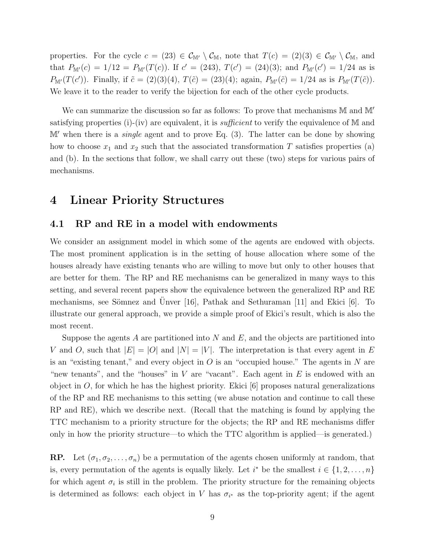properties. For the cycle  $c = (23) \in C_{\mathbb{M}'} \setminus C_{\mathbb{M}}$ , note that  $T(c) = (2)(3) \in C_{\mathbb{M}'} \setminus C_{\mathbb{M}}$ , and that  $P_{\mathbb{M}'}(c) = 1/12 = P_{\mathbb{M}'}(T(c))$ . If  $c' = (243), T(c') = (24)(3)$ ; and  $P_{\mathbb{M}'}(c') = 1/24$  as is  $P_{\mathbb{M}'}(T(c'))$ . Finally, if  $\tilde{c} = (2)(3)(4)$ ,  $T(\tilde{c}) = (23)(4)$ ; again,  $P_{\mathbb{M}'}(\tilde{c}) = 1/24$  as is  $P_{\mathbb{M}'}(T(\tilde{c}))$ . We leave it to the reader to verify the bijection for each of the other cycle products.

We can summarize the discussion so far as follows: To prove that mechanisms  $M$  and  $M'$ satisfying properties (i)-(iv) are equivalent, it is *sufficient* to verify the equivalence of M and  $\mathbb{M}'$  when there is a *single* agent and to prove Eq. (3). The latter can be done by showing how to choose  $x_1$  and  $x_2$  such that the associated transformation T satisfies properties (a) and (b). In the sections that follow, we shall carry out these (two) steps for various pairs of mechanisms.

### 4 Linear Priority Structures

#### 4.1 RP and RE in a model with endowments

We consider an assignment model in which some of the agents are endowed with objects. The most prominent application is in the setting of house allocation where some of the houses already have existing tenants who are willing to move but only to other houses that are better for them. The RP and RE mechanisms can be generalized in many ways to this setting, and several recent papers show the equivalence between the generalized RP and RE mechanisms, see Sömnez and Ünver [16], Pathak and Sethuraman [11] and Ekici  $[6]$ . To illustrate our general approach, we provide a simple proof of Ekici's result, which is also the most recent.

Suppose the agents A are partitioned into N and E, and the objects are partitioned into V and O, such that  $|E| = |O|$  and  $|N| = |V|$ . The interpretation is that every agent in E is an "existing tenant," and every object in  $O$  is an "occupied house." The agents in  $N$  are "new tenants", and the "houses" in  $V$  are "vacant". Each agent in  $E$  is endowed with an object in  $O$ , for which he has the highest priority. Ekici  $[6]$  proposes natural generalizations of the RP and RE mechanisms to this setting (we abuse notation and continue to call these RP and RE), which we describe next. (Recall that the matching is found by applying the TTC mechanism to a priority structure for the objects; the RP and RE mechanisms differ only in how the priority structure—to which the TTC algorithm is applied—is generated.)

**RP.** Let  $(\sigma_1, \sigma_2, \ldots, \sigma_n)$  be a permutation of the agents chosen uniformly at random, that is, every permutation of the agents is equally likely. Let  $i^*$  be the smallest  $i \in \{1, 2, ..., n\}$ for which agent  $\sigma_i$  is still in the problem. The priority structure for the remaining objects is determined as follows: each object in V has  $\sigma_{i^*}$  as the top-priority agent; if the agent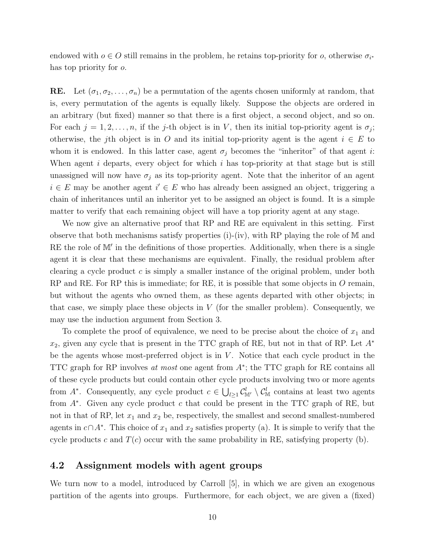endowed with  $o \in O$  still remains in the problem, he retains top-priority for  $o$ , otherwise  $\sigma_{i^*}$ has top priority for o.

**RE.** Let  $(\sigma_1, \sigma_2, \ldots, \sigma_n)$  be a permutation of the agents chosen uniformly at random, that is, every permutation of the agents is equally likely. Suppose the objects are ordered in an arbitrary (but fixed) manner so that there is a first object, a second object, and so on. For each  $j = 1, 2, \ldots, n$ , if the j-th object is in V, then its initial top-priority agent is  $\sigma_j$ ; otherwise, the j<sup>th</sup> object is in O and its initial top-priority agent is the agent  $i \in E$  to whom it is endowed. In this latter case, agent  $\sigma_j$  becomes the "inheritor" of that agent i: When agent i departs, every object for which i has top-priority at that stage but is still unassigned will now have  $\sigma_j$  as its top-priority agent. Note that the inheritor of an agent  $i \in E$  may be another agent  $i' \in E$  who has already been assigned an object, triggering a chain of inheritances until an inheritor yet to be assigned an object is found. It is a simple matter to verify that each remaining object will have a top priority agent at any stage.

We now give an alternative proof that RP and RE are equivalent in this setting. First observe that both mechanisms satisfy properties (i)-(iv), with RP playing the role of  $M$  and RE the role of M' in the definitions of those properties. Additionally, when there is a single agent it is clear that these mechanisms are equivalent. Finally, the residual problem after clearing a cycle product  $c$  is simply a smaller instance of the original problem, under both RP and RE. For RP this is immediate; for RE, it is possible that some objects in O remain, but without the agents who owned them, as these agents departed with other objects; in that case, we simply place these objects in  $V$  (for the smaller problem). Consequently, we may use the induction argument from Section 3.

To complete the proof of equivalence, we need to be precise about the choice of  $x_1$  and  $x_2$ , given any cycle that is present in the TTC graph of RE, but not in that of RP. Let  $A^*$ be the agents whose most-preferred object is in  $V$ . Notice that each cycle product in the TTC graph for RP involves at most one agent from  $A^*$ ; the TTC graph for RE contains all of these cycle products but could contain other cycle products involving two or more agents from  $A^*$ . Consequently, any cycle product  $c \in \bigcup_{l \geq 1} C^l_{\mathbb{M}'} \setminus C^l_{\mathbb{M}}$  contains at least two agents from  $A^*$ . Given any cycle product c that could be present in the TTC graph of RE, but not in that of RP, let  $x_1$  and  $x_2$  be, respectively, the smallest and second smallest-numbered agents in  $c \cap A^*$ . This choice of  $x_1$  and  $x_2$  satisfies property (a). It is simple to verify that the cycle products c and  $T(c)$  occur with the same probability in RE, satisfying property (b).

#### 4.2 Assignment models with agent groups

We turn now to a model, introduced by Carroll [5], in which we are given an exogenous partition of the agents into groups. Furthermore, for each object, we are given a (fixed)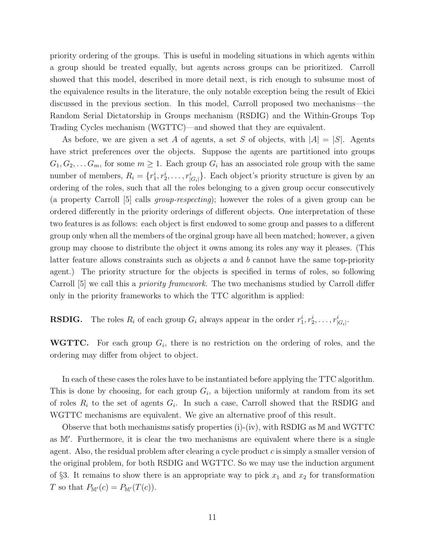priority ordering of the groups. This is useful in modeling situations in which agents within a group should be treated equally, but agents across groups can be prioritized. Carroll showed that this model, described in more detail next, is rich enough to subsume most of the equivalence results in the literature, the only notable exception being the result of Ekici discussed in the previous section. In this model, Carroll proposed two mechanisms—the Random Serial Dictatorship in Groups mechanism (RSDIG) and the Within-Groups Top Trading Cycles mechanism (WGTTC)—and showed that they are equivalent.

As before, we are given a set A of agents, a set S of objects, with  $|A| = |S|$ . Agents have strict preferences over the objects. Suppose the agents are partitioned into groups  $G_1, G_2, \ldots, G_m$ , for some  $m \geq 1$ . Each group  $G_i$  has an associated role group with the same number of members,  $R_i = \{r_1^i, r_2^i, \dots, r_{|G_i|}^i\}$ . Each object's priority structure is given by an ordering of the roles, such that all the roles belonging to a given group occur consecutively (a property Carroll [5] calls group-respecting); however the roles of a given group can be ordered differently in the priority orderings of different objects. One interpretation of these two features is as follows: each object is first endowed to some group and passes to a different group only when all the members of the orginal group have all been matched; however, a given group may choose to distribute the object it owns among its roles any way it pleases. (This latter feature allows constraints such as objects a and b cannot have the same top-priority agent.) The priority structure for the objects is specified in terms of roles, so following Carroll [5] we call this a *priority framework*. The two mechanisms studied by Carroll differ only in the priority frameworks to which the TTC algorithm is applied:

**RSDIG.** The roles  $R_i$  of each group  $G_i$  always appear in the order  $r_1^i, r_2^i, \ldots, r_{|G_i|}^i$ .

**WGTTC.** For each group  $G_i$ , there is no restriction on the ordering of roles, and the ordering may differ from object to object.

In each of these cases the roles have to be instantiated before applying the TTC algorithm. This is done by choosing, for each group  $G_i$ , a bijection uniformly at random from its set of roles  $R_i$  to the set of agents  $G_i$ . In such a case, Carroll showed that the RSDIG and WGTTC mechanisms are equivalent. We give an alternative proof of this result.

Observe that both mechanisms satisfy properties (i)-(iv), with RSDIG as M and WGTTC as M'. Furthermore, it is clear the two mechanisms are equivalent where there is a single agent. Also, the residual problem after clearing a cycle product  $c$  is simply a smaller version of the original problem, for both RSDIG and WGTTC. So we may use the induction argument of §3. It remains to show there is an appropriate way to pick  $x_1$  and  $x_2$  for transformation T so that  $P_{\mathbb{M}'}(c) = P_{\mathbb{M}'}(T(c)).$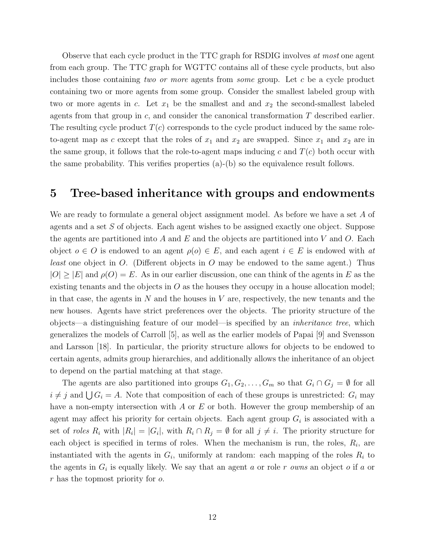Observe that each cycle product in the TTC graph for RSDIG involves at most one agent from each group. The TTC graph for WGTTC contains all of these cycle products, but also includes those containing two or more agents from some group. Let c be a cycle product containing two or more agents from some group. Consider the smallest labeled group with two or more agents in c. Let  $x_1$  be the smallest and and  $x_2$  the second-smallest labeled agents from that group in  $c$ , and consider the canonical transformation  $T$  described earlier. The resulting cycle product  $T(c)$  corresponds to the cycle product induced by the same roleto-agent map as c except that the roles of  $x_1$  and  $x_2$  are swapped. Since  $x_1$  and  $x_2$  are in the same group, it follows that the role-to-agent maps inducing c and  $T(c)$  both occur with the same probability. This verifies properties  $(a)$ - $(b)$  so the equivalence result follows.

### 5 Tree-based inheritance with groups and endowments

We are ready to formulate a general object assignment model. As before we have a set A of agents and a set S of objects. Each agent wishes to be assigned exactly one object. Suppose the agents are partitioned into A and E and the objects are partitioned into V and O. Each object  $o \in O$  is endowed to an agent  $\rho(o) \in E$ , and each agent  $i \in E$  is endowed with at *least* one object in  $O$ . (Different objects in  $O$  may be endowed to the same agent.) Thus  $|O| \geq |E|$  and  $\rho(O) = E$ . As in our earlier discussion, one can think of the agents in E as the existing tenants and the objects in  $O$  as the houses they occupy in a house allocation model; in that case, the agents in  $N$  and the houses in  $V$  are, respectively, the new tenants and the new houses. Agents have strict preferences over the objects. The priority structure of the objects—a distinguishing feature of our model—is specified by an inheritance tree, which generalizes the models of Carroll [5], as well as the earlier models of Papai [9] and Svensson and Larsson [18]. In particular, the priority structure allows for objects to be endowed to certain agents, admits group hierarchies, and additionally allows the inheritance of an object to depend on the partial matching at that stage.

The agents are also partitioned into groups  $G_1, G_2, \ldots, G_m$  so that  $G_i \cap G_j = \emptyset$  for all  $i \neq j$  and  $\bigcup G_i = A$ . Note that composition of each of these groups is unrestricted:  $G_i$  may have a non-empty intersection with A or E or both. However the group membership of an agent may affect his priority for certain objects. Each agent group  $G_i$  is associated with a set of *roles*  $R_i$  with  $|R_i| = |G_i|$ , with  $R_i \cap R_j = \emptyset$  for all  $j \neq i$ . The priority structure for each object is specified in terms of roles. When the mechanism is run, the roles,  $R_i$ , are instantiated with the agents in  $G_i$ , uniformly at random: each mapping of the roles  $R_i$  to the agents in  $G_i$  is equally likely. We say that an agent a or role r owns an object o if a or r has the topmost priority for o.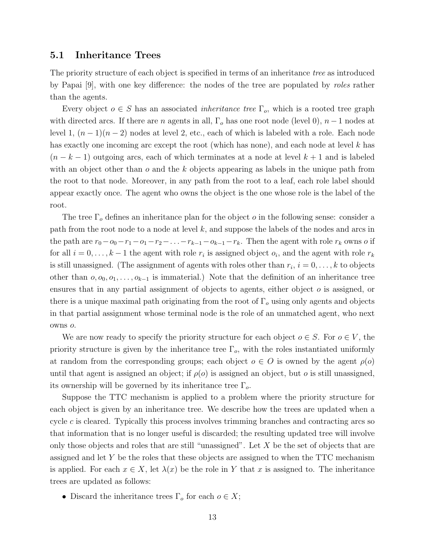#### 5.1 Inheritance Trees

The priority structure of each object is specified in terms of an inheritance tree as introduced by Papai [9], with one key difference: the nodes of the tree are populated by roles rather than the agents.

Every object  $o \in S$  has an associated *inheritance tree*  $\Gamma_o$ , which is a rooted tree graph with directed arcs. If there are n agents in all,  $\Gamma_o$  has one root node (level 0),  $n-1$  nodes at level 1,  $(n-1)(n-2)$  nodes at level 2, etc., each of which is labeled with a role. Each node has exactly one incoming arc except the root (which has none), and each node at level k has  $(n - k - 1)$  outgoing arcs, each of which terminates at a node at level  $k + 1$  and is labeled with an object other than  $\sigma$  and the k objects appearing as labels in the unique path from the root to that node. Moreover, in any path from the root to a leaf, each role label should appear exactly once. The agent who owns the object is the one whose role is the label of the root.

The tree  $\Gamma_o$  defines an inheritance plan for the object  $o$  in the following sense: consider a path from the root node to a node at level  $k$ , and suppose the labels of the nodes and arcs in the path are  $r_0 - o_0 - r_1 - o_1 - r_2 - \ldots - r_{k-1} - o_{k-1} - r_k$ . Then the agent with role  $r_k$  owns o if for all  $i = 0, \ldots, k-1$  the agent with role  $r_i$  is assigned object  $o_i$ , and the agent with role  $r_k$ is still unassigned. (The assignment of agents with roles other than  $r_i$ ,  $i = 0, \ldots, k$  to objects other than  $o, o_0, o_1, \ldots, o_{k-1}$  is immaterial.) Note that the definition of an inheritance tree ensures that in any partial assignment of objects to agents, either object o is assigned, or there is a unique maximal path originating from the root of  $\Gamma<sub>o</sub>$  using only agents and objects in that partial assignment whose terminal node is the role of an unmatched agent, who next owns o.

We are now ready to specify the priority structure for each object  $o \in S$ . For  $o \in V$ , the priority structure is given by the inheritance tree  $\Gamma_o$ , with the roles instantiated uniformly at random from the corresponding groups; each object  $o \in O$  is owned by the agent  $\rho(o)$ until that agent is assigned an object; if  $\rho(o)$  is assigned an object, but o is still unassigned, its ownership will be governed by its inheritance tree  $\Gamma_o$ .

Suppose the TTC mechanism is applied to a problem where the priority structure for each object is given by an inheritance tree. We describe how the trees are updated when a cycle  $c$  is cleared. Typically this process involves trimming branches and contracting arcs so that information that is no longer useful is discarded; the resulting updated tree will involve only those objects and roles that are still "unassigned". Let  $X$  be the set of objects that are assigned and let  $Y$  be the roles that these objects are assigned to when the TTC mechanism is applied. For each  $x \in X$ , let  $\lambda(x)$  be the role in Y that x is assigned to. The inheritance trees are updated as follows:

• Discard the inheritance trees  $\Gamma_o$  for each  $o \in X$ ;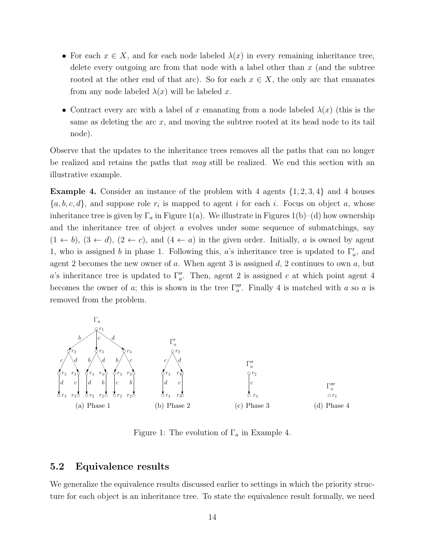- For each  $x \in X$ , and for each node labeled  $\lambda(x)$  in every remaining inheritance tree, delete every outgoing arc from that node with a label other than  $x$  (and the subtree rooted at the other end of that arc). So for each  $x \in X$ , the only arc that emanates from any node labeled  $\lambda(x)$  will be labeled x.
- Contract every arc with a label of x emanating from a node labeled  $\lambda(x)$  (this is the same as deleting the arc x, and moving the subtree rooted at its head node to its tail node).

Observe that the updates to the inheritance trees removes all the paths that can no longer be realized and retains the paths that may still be realized. We end this section with an illustrative example.

**Example 4.** Consider an instance of the problem with 4 agents  $\{1, 2, 3, 4\}$  and 4 houses  $\{a, b, c, d\}$ , and suppose role  $r_i$  is mapped to agent i for each i. Focus on object a, whose inheritance tree is given by  $\Gamma_a$  in Figure 1(a). We illustrate in Figures 1(b)–(d) how ownership and the inheritance tree of object  $a$  evolves under some sequence of submatchings, say  $(1 \leftarrow b)$ ,  $(3 \leftarrow d)$ ,  $(2 \leftarrow c)$ , and  $(4 \leftarrow a)$  in the given order. Initially, a is owned by agent 1, who is assigned b in phase 1. Following this, a's inheritance tree is updated to  $\Gamma_a'$ , and agent 2 becomes the new owner of a. When agent 3 is assigned  $d$ , 2 continues to own  $a$ , but a's inheritance tree is updated to  $\Gamma''_a$ . Then, agent 2 is assigned c at which point agent 4 becomes the owner of a; this is shown in the tree  $\Gamma_n'''$ . Finally 4 is matched with a so a is removed from the problem.



Figure 1: The evolution of  $\Gamma_a$  in Example 4.

#### 5.2 Equivalence results

We generalize the equivalence results discussed earlier to settings in which the priority structure for each object is an inheritance tree. To state the equivalence result formally, we need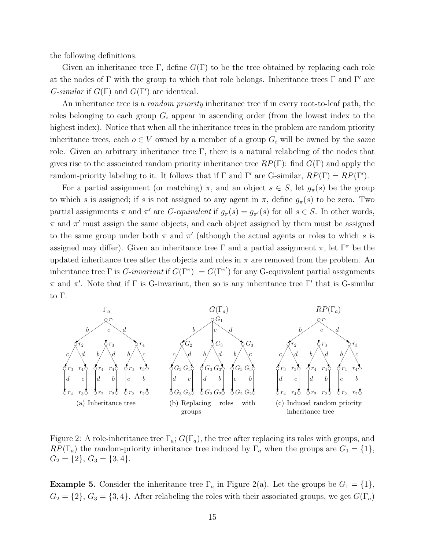the following definitions.

Given an inheritance tree Γ, define  $G(\Gamma)$  to be the tree obtained by replacing each role at the nodes of Γ with the group to which that role belongs. Inheritance trees Γ and Γ' are  $G\text{-}similar$  if  $G(\Gamma)$  and  $G(\Gamma')$  are identical.

An inheritance tree is a *random priority* inheritance tree if in every root-to-leaf path, the roles belonging to each group  $G_i$  appear in ascending order (from the lowest index to the highest index). Notice that when all the inheritance trees in the problem are random priority inheritance trees, each  $o \in V$  owned by a member of a group  $G_i$  will be owned by the same role. Given an arbitrary inheritance tree  $\Gamma$ , there is a natural relabeling of the nodes that gives rise to the associated random priority inheritance tree  $RP(\Gamma)$ : find  $G(\Gamma)$  and apply the random-priority labeling to it. It follows that if  $\Gamma$  and  $\Gamma'$  are G-similar,  $RP(\Gamma) = RP(\Gamma').$ 

For a partial assignment (or matching)  $\pi$ , and an object  $s \in S$ , let  $g_{\pi}(s)$  be the group to which s is assigned; if s is not assigned to any agent in  $\pi$ , define  $g_{\pi}(s)$  to be zero. Two partial assignments  $\pi$  and  $\pi'$  are *G-equivalent* if  $g_{\pi}(s) = g_{\pi'}(s)$  for all  $s \in S$ . In other words,  $\pi$  and  $\pi'$  must assign the same objects, and each object assigned by them must be assigned to the same group under both  $\pi$  and  $\pi'$  (although the actual agents or roles to which s is assigned may differ). Given an inheritance tree Γ and a partial assignment  $\pi$ , let Γ<sup>π</sup> be the updated inheritance tree after the objects and roles in  $\pi$  are removed from the problem. An inheritance tree  $\Gamma$  is *G-invariant* if  $G(\Gamma^{\pi}) = G(\Gamma^{\pi'})$  for any G-equivalent partial assignments  $\pi$  and  $\pi'$ . Note that if  $\Gamma$  is G-invariant, then so is any inheritance tree  $\Gamma'$  that is G-similar to Γ.



Figure 2: A role-inheritance tree  $\Gamma_a$ ;  $G(\Gamma_a)$ , the tree after replacing its roles with groups, and  $RP(\Gamma_a)$  the random-priority inheritance tree induced by  $\Gamma_a$  when the groups are  $G_1 = \{1\},\$  $G_2 = \{2\}, G_3 = \{3, 4\}.$ 

**Example 5.** Consider the inheritance tree  $\Gamma_a$  in Figure 2(a). Let the groups be  $G_1 = \{1\}$ ,  $G_2 = \{2\}, G_3 = \{3, 4\}.$  After relabeling the roles with their associated groups, we get  $G(\Gamma_a)$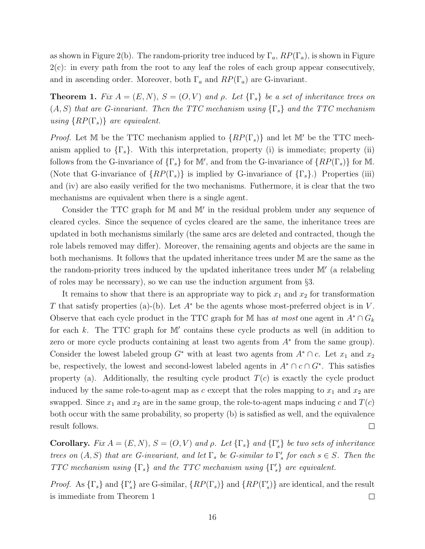as shown in Figure 2(b). The random-priority tree induced by  $\Gamma_a$ ,  $RP(\Gamma_a)$ , is shown in Figure  $2(c)$ : in every path from the root to any leaf the roles of each group appear consecutively, and in ascending order. Moreover, both  $\Gamma_a$  and  $RP(\Gamma_a)$  are G-invariant.

**Theorem 1.** Fix  $A = (E, N)$ ,  $S = (O, V)$  and  $\rho$ . Let  $\{\Gamma_s\}$  be a set of inheritance trees on  $(A, S)$  that are G-invariant. Then the TTC mechanism using  $\{\Gamma_s\}$  and the TTC mechanism using  $\{RP(\Gamma_s)\}\$ are equivalent.

*Proof.* Let M be the TTC mechanism applied to  $\{RP(\Gamma_s)\}\$  and let M' be the TTC mechanism applied to  $\{\Gamma_s\}$ . With this interpretation, property (i) is immediate; property (ii) follows from the G-invariance of  $\{\Gamma_s\}$  for M', and from the G-invariance of  $\{RP(\Gamma_s)\}$  for M. (Note that G-invariance of  $\{RP(\Gamma_s)\}\$ is implied by G-invariance of  $\{\Gamma_s\}$ .) Properties (iii) and (iv) are also easily verified for the two mechanisms. Futhermore, it is clear that the two mechanisms are equivalent when there is a single agent.

Consider the TTC graph for  $M$  and  $M'$  in the residual problem under any sequence of cleared cycles. Since the sequence of cycles cleared are the same, the inheritance trees are updated in both mechanisms similarly (the same arcs are deleted and contracted, though the role labels removed may differ). Moreover, the remaining agents and objects are the same in both mechanisms. It follows that the updated inheritance trees under M are the same as the the random-priority trees induced by the updated inheritance trees under M' (a relabeling of roles may be necessary), so we can use the induction argument from §3.

It remains to show that there is an appropriate way to pick  $x_1$  and  $x_2$  for transformation T that satisfy properties (a)-(b). Let  $A^*$  be the agents whose most-preferred object is in V. Observe that each cycle product in the TTC graph for M has at most one agent in  $A^* \cap G_k$ for each  $k$ . The TTC graph for  $M'$  contains these cycle products as well (in addition to zero or more cycle products containing at least two agents from  $A^*$  from the same group). Consider the lowest labeled group  $G^*$  with at least two agents from  $A^* \cap c$ . Let  $x_1$  and  $x_2$ be, respectively, the lowest and second-lowest labeled agents in  $A^* \cap c \cap G^*$ . This satisfies property (a). Additionally, the resulting cycle product  $T(c)$  is exactly the cycle product induced by the same role-to-agent map as  $c$  except that the roles mapping to  $x_1$  and  $x_2$  are swapped. Since  $x_1$  and  $x_2$  are in the same group, the role-to-agent maps inducing c and  $T(c)$ both occur with the same probability, so property (b) is satisfied as well, and the equivalence result follows.  $\Box$ 

**Corollary.** Fix  $A = (E, N)$ ,  $S = (O, V)$  and  $\rho$ . Let  $\{\Gamma_s\}$  and  $\{\Gamma'_s\}$  be two sets of inheritance trees on  $(A, S)$  that are G-invariant, and let  $\Gamma_s$  be G-similar to  $\Gamma'_s$  for each  $s \in S$ . Then the TTC mechanism using  $\{\Gamma_s\}$  and the TTC mechanism using  $\{\Gamma'_s\}$  are equivalent.

*Proof.* As  $\{\Gamma_s\}$  and  $\{\Gamma'_s\}$  are G-similar,  $\{RP(\Gamma_s)\}$  and  $\{RP(\Gamma'_s)\}$  are identical, and the result is immediate from Theorem 1  $\Box$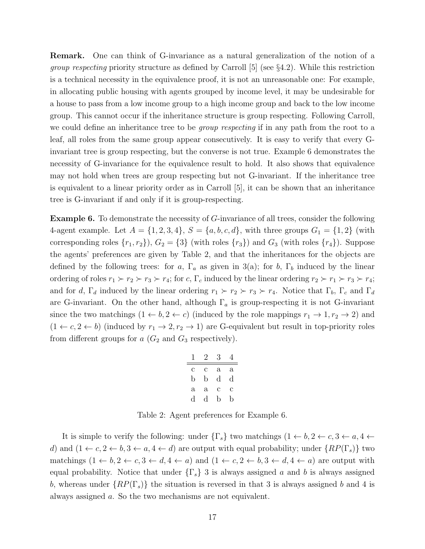Remark. One can think of G-invariance as a natural generalization of the notion of a *group respecting* priority structure as defined by Carroll [5] (see  $\S 4.2$ ). While this restriction is a technical necessity in the equivalence proof, it is not an unreasonable one: For example, in allocating public housing with agents grouped by income level, it may be undesirable for a house to pass from a low income group to a high income group and back to the low income group. This cannot occur if the inheritance structure is group respecting. Following Carroll, we could define an inheritance tree to be *group respecting* if in any path from the root to a leaf, all roles from the same group appear consecutively. It is easy to verify that every Ginvariant tree is group respecting, but the converse is not true. Example 6 demonstrates the necessity of G-invariance for the equivalence result to hold. It also shows that equivalence may not hold when trees are group respecting but not G-invariant. If the inheritance tree is equivalent to a linear priority order as in Carroll [5], it can be shown that an inheritance tree is G-invariant if and only if it is group-respecting.

Example 6. To demonstrate the necessity of G-invariance of all trees, consider the following 4-agent example. Let  $A = \{1, 2, 3, 4\}$ ,  $S = \{a, b, c, d\}$ , with three groups  $G_1 = \{1, 2\}$  (with corresponding roles  $\{r_1, r_2\}$ ,  $G_2 = \{3\}$  (with roles  $\{r_3\}$ ) and  $G_3$  (with roles  $\{r_4\}$ ). Suppose the agents' preferences are given by Table 2, and that the inheritances for the objects are defined by the following trees: for a,  $\Gamma_a$  as given in 3(a); for b,  $\Gamma_b$  induced by the linear ordering of roles  $r_1 \succ r_2 \succ r_3 \succ r_4$ ; for c,  $\Gamma_c$  induced by the linear ordering  $r_2 \succ r_1 \succ r_3 \succ r_4$ ; and for d,  $\Gamma_d$  induced by the linear ordering  $r_1 \succ r_2 \succ r_3 \succ r_4$ . Notice that  $\Gamma_b$ ,  $\Gamma_c$  and  $\Gamma_d$ are G-invariant. On the other hand, although  $\Gamma_a$  is group-respecting it is not G-invariant since the two matchings  $(1 \leftarrow b, 2 \leftarrow c)$  (induced by the role mappings  $r_1 \rightarrow 1, r_2 \rightarrow 2$ ) and  $(1 \leftarrow c, 2 \leftarrow b)$  (induced by  $r_1 \rightarrow 2, r_2 \rightarrow 1$ ) are G-equivalent but result in top-priority roles from different groups for  $a(G_2 \text{ and } G_3 \text{ respectively}).$ 

| ı            | 2            | 3 | 4          |
|--------------|--------------|---|------------|
| с            | С            | а | $^{\rm a}$ |
| b            | b            | d | d          |
| $\mathbf{a}$ | $\mathbf{a}$ | с | C          |
| d            | d            | b | b          |

Table 2: Agent preferences for Example 6.

It is simple to verify the following: under  $\{\Gamma_s\}$  two matchings  $(1 \leftarrow b, 2 \leftarrow c, 3 \leftarrow a, 4 \leftarrow$ d) and  $(1 \leftarrow c, 2 \leftarrow b, 3 \leftarrow a, 4 \leftarrow d)$  are output with equal probability; under  $\{RP(\Gamma_s)\}\$ two matchings  $(1 \leftarrow b, 2 \leftarrow c, 3 \leftarrow d, 4 \leftarrow a)$  and  $(1 \leftarrow c, 2 \leftarrow b, 3 \leftarrow d, 4 \leftarrow a)$  are output with equal probability. Notice that under  $\{\Gamma_s\}$  3 is always assigned a and b is always assigned b, whereas under  $\{RP(\Gamma_s)\}\$ the situation is reversed in that 3 is always assigned b and 4 is always assigned a. So the two mechanisms are not equivalent.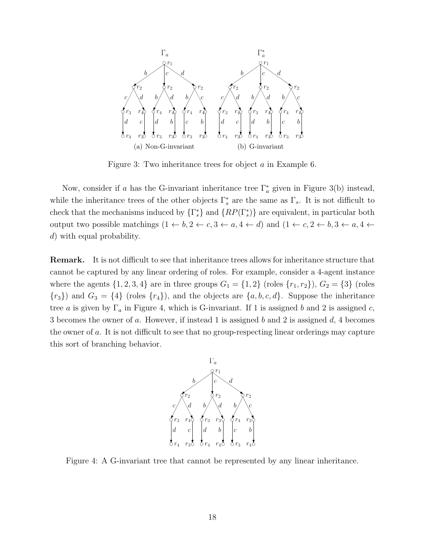

Figure 3: Two inheritance trees for object a in Example 6.

Now, consider if a has the G-invariant inheritance tree  $\Gamma_a^*$  given in Figure 3(b) instead, while the inheritance trees of the other objects  $\Gamma_s^*$  are the same as  $\Gamma_s$ . It is not difficult to check that the mechanisms induced by  $\{\Gamma_s^*\}$  and  $\{RP(\Gamma_s^*)\}$  are equivalent, in particular both output two possible matchings  $(1 \leftarrow b, 2 \leftarrow c, 3 \leftarrow a, 4 \leftarrow d)$  and  $(1 \leftarrow c, 2 \leftarrow b, 3 \leftarrow a, 4 \leftarrow d)$ d) with equal probability.

Remark. It is not difficult to see that inheritance trees allows for inheritance structure that cannot be captured by any linear ordering of roles. For example, consider a 4-agent instance where the agents  $\{1, 2, 3, 4\}$  are in three groups  $G_1 = \{1, 2\}$  (roles  $\{r_1, r_2\}$ ),  $G_2 = \{3\}$  (roles  ${r_3}$ ) and  $G_3 = {4}$  (roles  ${r_4}$ ), and the objects are  ${a, b, c, d}$ . Suppose the inheritance tree a is given by  $\Gamma_a$  in Figure 4, which is G-invariant. If 1 is assigned b and 2 is assigned c, 3 becomes the owner of a. However, if instead 1 is assigned b and 2 is assigned d, 4 becomes the owner of a. It is not difficult to see that no group-respecting linear orderings may capture this sort of branching behavior.



Figure 4: A G-invariant tree that cannot be represented by any linear inheritance.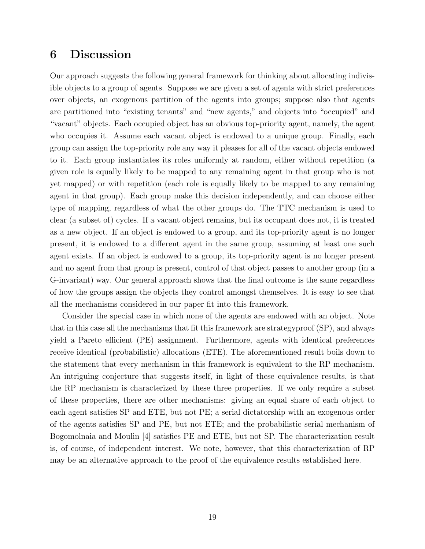# 6 Discussion

Our approach suggests the following general framework for thinking about allocating indivisible objects to a group of agents. Suppose we are given a set of agents with strict preferences over objects, an exogenous partition of the agents into groups; suppose also that agents are partitioned into "existing tenants" and "new agents," and objects into "occupied" and "vacant" objects. Each occupied object has an obvious top-priority agent, namely, the agent who occupies it. Assume each vacant object is endowed to a unique group. Finally, each group can assign the top-priority role any way it pleases for all of the vacant objects endowed to it. Each group instantiates its roles uniformly at random, either without repetition (a given role is equally likely to be mapped to any remaining agent in that group who is not yet mapped) or with repetition (each role is equally likely to be mapped to any remaining agent in that group). Each group make this decision independently, and can choose either type of mapping, regardless of what the other groups do. The TTC mechanism is used to clear (a subset of) cycles. If a vacant object remains, but its occupant does not, it is treated as a new object. If an object is endowed to a group, and its top-priority agent is no longer present, it is endowed to a different agent in the same group, assuming at least one such agent exists. If an object is endowed to a group, its top-priority agent is no longer present and no agent from that group is present, control of that object passes to another group (in a G-invariant) way. Our general approach shows that the final outcome is the same regardless of how the groups assign the objects they control amongst themselves. It is easy to see that all the mechanisms considered in our paper fit into this framework.

Consider the special case in which none of the agents are endowed with an object. Note that in this case all the mechanisms that fit this framework are strategyproof (SP), and always yield a Pareto efficient (PE) assignment. Furthermore, agents with identical preferences receive identical (probabilistic) allocations (ETE). The aforementioned result boils down to the statement that every mechanism in this framework is equivalent to the RP mechanism. An intriguing conjecture that suggests itself, in light of these equivalence results, is that the RP mechanism is characterized by these three properties. If we only require a subset of these properties, there are other mechanisms: giving an equal share of each object to each agent satisfies SP and ETE, but not PE; a serial dictatorship with an exogenous order of the agents satisfies SP and PE, but not ETE; and the probabilistic serial mechanism of Bogomolnaia and Moulin [4] satisfies PE and ETE, but not SP. The characterization result is, of course, of independent interest. We note, however, that this characterization of RP may be an alternative approach to the proof of the equivalence results established here.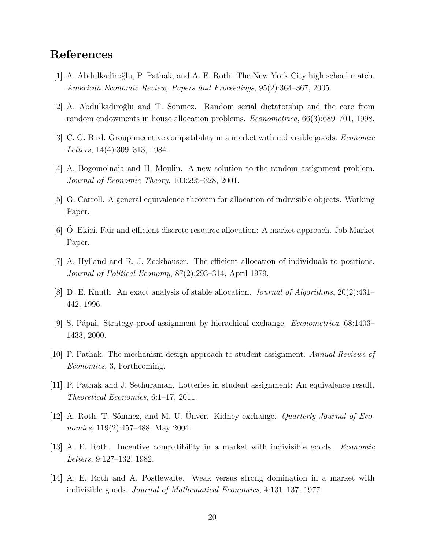## References

- [1] A. Abdulkadiroğlu, P. Pathak, and A. E. Roth. The New York City high school match. American Economic Review, Papers and Proceedings, 95(2):364–367, 2005.
- $[2]$  A. Abdulkadiroğlu and T. Sönmez. Random serial dictatorship and the core from random endowments in house allocation problems. *Econometrica*, 66(3):689–701, 1998.
- [3] C. G. Bird. Group incentive compatibility in a market with indivisible goods. Economic Letters, 14(4):309–313, 1984.
- [4] A. Bogomolnaia and H. Moulin. A new solution to the random assignment problem. Journal of Economic Theory, 100:295–328, 2001.
- [5] G. Carroll. A general equivalence theorem for allocation of indivisible objects. Working Paper.
- [6] O. Ekici. Fair and efficient discrete resource allocation: A market approach. Job Market Paper.
- [7] A. Hylland and R. J. Zeckhauser. The efficient allocation of individuals to positions. Journal of Political Economy, 87(2):293–314, April 1979.
- [8] D. E. Knuth. An exact analysis of stable allocation. Journal of Algorithms, 20(2):431– 442, 1996.
- [9] S. Pápai. Strategy-proof assignment by hierachical exchange. *Econometrica*, 68:1403– 1433, 2000.
- [10] P. Pathak. The mechanism design approach to student assignment. Annual Reviews of Economics, 3, Forthcoming.
- [11] P. Pathak and J. Sethuraman. Lotteries in student assignment: An equivalence result. Theoretical Economics, 6:1–17, 2011.
- [12] A. Roth, T. Sönmez, and M. U. Ünver. Kidney exchange. *Quarterly Journal of Eco*nomics, 119(2):457–488, May 2004.
- [13] A. E. Roth. Incentive compatibility in a market with indivisible goods. Economic Letters, 9:127–132, 1982.
- [14] A. E. Roth and A. Postlewaite. Weak versus strong domination in a market with indivisible goods. Journal of Mathematical Economics, 4:131–137, 1977.